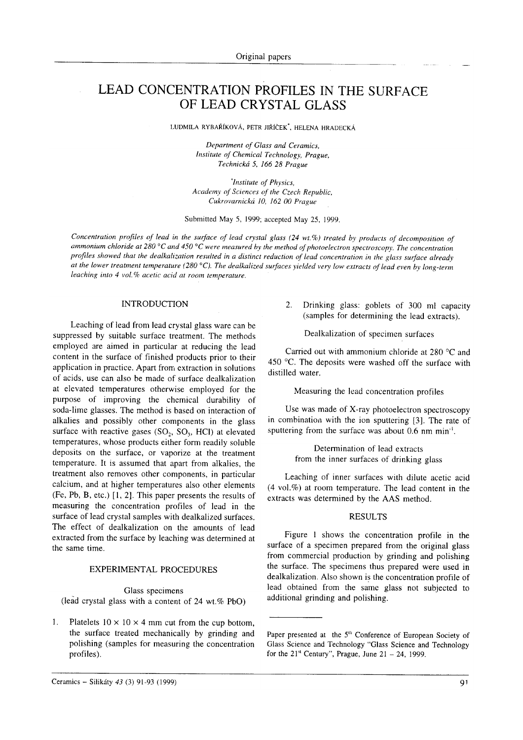# LEAD CONCENTRATION PROFILES IN THE SURFACE OF LEAD CRYSTAL GLASS

LUDMILA RYBAŘÍKOVÁ, PETR JIŘÍČEK<sup>\*</sup>, HELENA HRADECKÁ

Department of Glass and Ceramics, Institute of Chemical Technology, Prague, Technická 5, 166 28 Prague

\*lnstitute of Physics, Academy of Sciences of the Czech Republic, Cukrovarnická 10, 162 00 Prague

Submitted May 5, 1999; accepted May 25, 1999.

Concentration profiles of lead in the surface of lead crystal glass (24 wt.%) treated by products of decomposition of ammonium chloride at 280 $\degree$ C and 450 $\degree$ C were measured by the method of photoelectron spectroscopy. The concentration profiles showed that the dealkalization resulted in a distinct reduction of lead concentration in the glass surface already at the lower treatment temperature (280 $^{\circ}$ C). The dealkalized surfaces yielded very low extracts of lead even by long-term leaching into 4 vol.% acetic acid at room temperature.

## INTRODUCTION

Leaching of lead from lead crystal glass ware can be suppressed by suitable surface treatment. The methods employed are aimed in particular at reducing the lead content in the surface of finished products prior to their application in practice. Apart frorr, extraction in solutions of acids, use can also be made of surface dealkalization at elevated temperatures otherwise employed for the purpose of improving the chemical durability of soda-lime glasses. The method is based on interaction of alkalies and possibly other components in the glass surface with reactive gases  $(SO<sub>2</sub>, SO<sub>3</sub>, HCl)$  at elevated temperatures, whose products either form readily soluble deposits on the surface, or vaporize at the treatment temperature. It is assumed that apart from alkalies, the treatment also removes other components, in particular calcium, and at higher temperatures also other elements (Fe, Pb, B, etc.) [1, 2]. This paper presents the results of measuring the concentration profiles of lead in the surface of lead crystal samples with dealkalized surfaces. The effect of dealkalization on the amounts of lead extracted from the surface by leaching was determined at the same time.

### EXPERIMENTAL PROCEDURES

Glass specimens (lead crystal glass with a content of 24 wt. $%$  PbO)

1. Platelets  $10 \times 10 \times 4$  mm cut from the cup bottom, the surface treated mechanically by grinding and polishing (samples for measuring the concentration profiles).

2. Drinking glass: goblets of 300 ml capacity (samples for determining the lead extracts).

Dealkalization of specimen surfaces

Carried out with ammonium chloride at  $280^{\circ}$ C and 450  $^{\circ}$ C. The deposits were washed off the surface with distilled water.

Measuring the lead concentration profiles

Use was made of X-ray photoelectron spectroscopy in combination with the ion sputtering [3]. The rate of sputtering from the surface was about  $0.6$  nm min<sup>-1</sup>.

> Determination of lead extracts from the inner surfaces of drinking glass

Leaching of inner surfaces with dilute acetic acid  $(4 \text{ vol.}\%)$  at room temperature. The lead content in the extracts was determined by the AAS method.

## RESULTS

Figure I shows the concentration profile in the surface of a specimen prepared from the original glass from commercial production by grinding and polishing the surface. The specimens thus prepared were used in dealkalization. Also shown is the concentration profile of lead obtained from the same glass not subjected to additional grinding and polishing.

Paper presented at the 5<sup>th</sup> Conference of European Society of Glass Science and Technology "Glass Science and Technology for the  $21<sup>st</sup>$  Century", Prague, June  $21 - 24$ , 1999.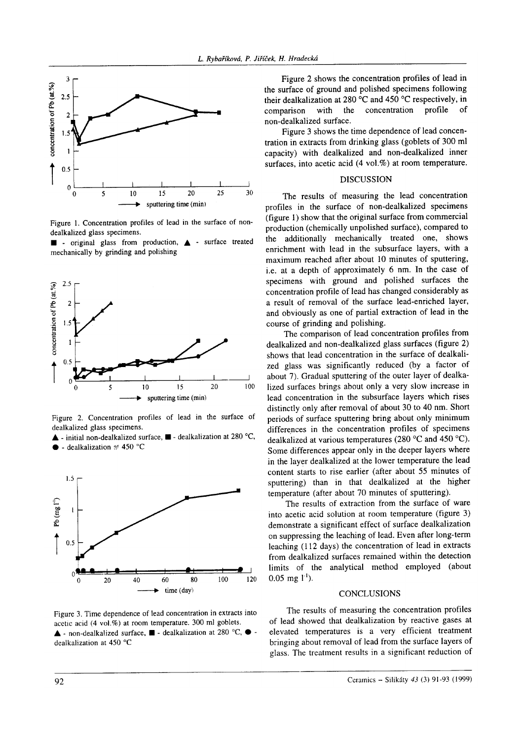

Figure 1. Concentration profiles of lead in the surface of nondealkalized glass specimens.





Figure 2. Concentration profiles of lead in the surface of dealkalized glass specimens.

▲ - initial non-dealkalized surface, ■ - dealkalization at 280 °C,  $\bullet$  - dealkalization at 450 °C



Figure 3. Time dependence of lead concentration in extracts into acetic acid (4 vol.%) at room temperature. 300 ml goblets. ▲ - non-dealkalized surface, ■ - dealkalization at 280 °C, ● dealkalization at 450 °C

Figure 2 shows the concentration profiles of lead in the surface of ground and polished specimens following their dealkalization at 280 °C and 450 °C respectively, in with the concentration profile  $\alpha$ f comparison non-dealkalized surface.

Figure 3 shows the time dependence of lead concentration in extracts from drinking glass (goblets of 300 ml capacity) with dealkalized and non-dealkalized inner surfaces, into acetic acid (4 vol.%) at room temperature.

### **DISCUSSION**

The results of measuring the lead concentration profiles in the surface of non-dealkalized specimens (figure 1) show that the original surface from commercial production (chemically unpolished surface), compared to the additionally mechanically treated one, shows enrichment with lead in the subsurface layers, with a maximum reached after about 10 minutes of sputtering, i.e. at a depth of approximately 6 nm. In the case of specimens with ground and polished surfaces the concentration profile of lead has changed considerably as a result of removal of the surface lead-enriched layer, and obviously as one of partial extraction of lead in the course of grinding and polishing.

The comparison of lead concentration profiles from dealkalized and non-dealkalized glass surfaces (figure 2) shows that lead concentration in the surface of dealkalized glass was significantly reduced (by a factor of about 7). Gradual sputtering of the outer layer of dealkalized surfaces brings about only a very slow increase in lead concentration in the subsurface layers which rises distinctly only after removal of about 30 to 40 nm. Short periods of surface sputtering bring about only minimum differences in the concentration profiles of specimens dealkalized at various temperatures (280 °C and 450 °C). Some differences appear only in the deeper layers where in the layer dealkalized at the lower temperature the lead content starts to rise earlier (after about 55 minutes of sputtering) than in that dealkalized at the higher temperature (after about 70 minutes of sputtering).

The results of extraction from the surface of ware into acetic acid solution at room temperature (figure 3) demonstrate a significant effect of surface dealkalization on suppressing the leaching of lead. Even after long-term leaching (112 days) the concentration of lead in extracts from dealkalized surfaces remained within the detection limits of the analytical method employed (about  $0.05$  mg  $1^{1}$ ).

#### **CONCLUSIONS**

The results of measuring the concentration profiles of lead showed that dealkalization by reactive gases at elevated temperatures is a very efficient treatment bringing about removal of lead from the surface layers of glass. The treatment results in a significant reduction of